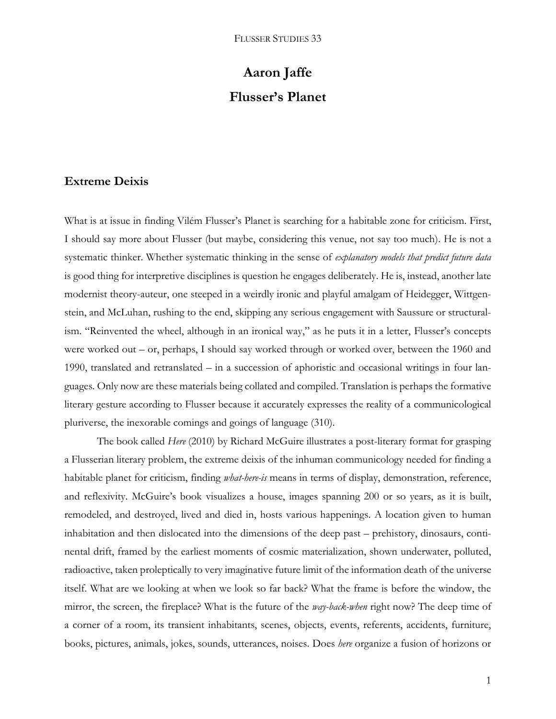# **Aaron Jaffe Flusser's Planet**

# **Extreme Deixis**

What is at issue in finding Vilém Flusser's Planet is searching for a habitable zone for criticism. First, I should say more about Flusser (but maybe, considering this venue, not say too much). He is not a systematic thinker. Whether systematic thinking in the sense of *explanatory models that predict future data* is good thing for interpretive disciplines is question he engages deliberately. He is, instead, another late modernist theory-auteur, one steeped in a weirdly ironic and playful amalgam of Heidegger, Wittgenstein, and McLuhan, rushing to the end, skipping any serious engagement with Saussure or structuralism. "Reinvented the wheel, although in an ironical way," as he puts it in a letter, Flusser's concepts were worked out – or, perhaps, I should say worked through or worked over, between the 1960 and 1990, translated and retranslated – in a succession of aphoristic and occasional writings in four languages. Only now are these materials being collated and compiled. Translation is perhaps the formative literary gesture according to Flusser because it accurately expresses the reality of a communicological pluriverse, the inexorable comings and goings of language (310).

The book called *Here* (2010) by Richard McGuire illustrates a post-literary format for grasping a Flusserian literary problem, the extreme deixis of the inhuman communicology needed for finding a habitable planet for criticism, finding *what-here-is* means in terms of display, demonstration, reference, and reflexivity. McGuire's book visualizes a house, images spanning 200 or so years, as it is built, remodeled, and destroyed, lived and died in, hosts various happenings. A location given to human inhabitation and then dislocated into the dimensions of the deep past – prehistory, dinosaurs, continental drift, framed by the earliest moments of cosmic materialization, shown underwater, polluted, radioactive, taken proleptically to very imaginative future limit of the information death of the universe itself. What are we looking at when we look so far back? What the frame is before the window, the mirror, the screen, the fireplace? What is the future of the *way-back-when* right now? The deep time of a corner of a room, its transient inhabitants, scenes, objects, events, referents, accidents, furniture, books, pictures, animals, jokes, sounds, utterances, noises. Does *here* organize a fusion of horizons or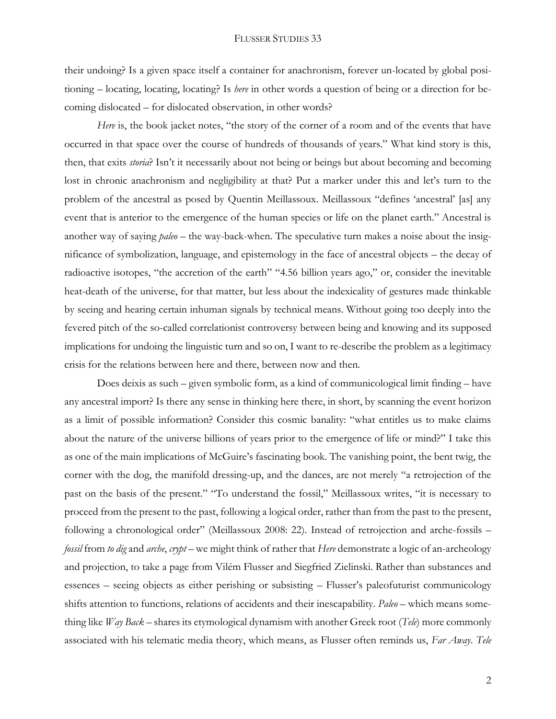their undoing? Is a given space itself a container for anachronism, forever un-located by global positioning – locating, locating, locating? Is *here* in other words a question of being or a direction for becoming dislocated – for dislocated observation, in other words?

*Here* is, the book jacket notes, "the story of the corner of a room and of the events that have occurred in that space over the course of hundreds of thousands of years." What kind story is this, then, that exits *storia*? Isn't it necessarily about not being or beings but about becoming and becoming lost in chronic anachronism and negligibility at that? Put a marker under this and let's turn to the problem of the ancestral as posed by Quentin Meillassoux. Meillassoux "defines 'ancestral' [as] any event that is anterior to the emergence of the human species or life on the planet earth." Ancestral is another way of saying *paleo* – the way-back-when. The speculative turn makes a noise about the insignificance of symbolization, language, and epistemology in the face of ancestral objects – the decay of radioactive isotopes, "the accretion of the earth" "4.56 billion years ago," or, consider the inevitable heat-death of the universe, for that matter, but less about the indexicality of gestures made thinkable by seeing and hearing certain inhuman signals by technical means. Without going too deeply into the fevered pitch of the so-called correlationist controversy between being and knowing and its supposed implications for undoing the linguistic turn and so on, I want to re-describe the problem as a legitimacy crisis for the relations between here and there, between now and then.

Does deixis as such – given symbolic form, as a kind of communicological limit finding – have any ancestral import? Is there any sense in thinking here there, in short, by scanning the event horizon as a limit of possible information? Consider this cosmic banality: "what entitles us to make claims about the nature of the universe billions of years prior to the emergence of life or mind?" I take this as one of the main implications of McGuire's fascinating book. The vanishing point, the bent twig, the corner with the dog, the manifold dressing-up, and the dances, are not merely "a retrojection of the past on the basis of the present." "To understand the fossil," Meillassoux writes, "it is necessary to proceed from the present to the past, following a logical order, rather than from the past to the present, following a chronological order" (Meillassoux 2008: 22). Instead of retrojection and arche-fossils – *fossil* from *to dig* and *arche*, *crypt* – we might think of rather that *Here* demonstrate a logic of an-archeology and projection, to take a page from Vilém Flusser and Siegfried Zielinski. Rather than substances and essences – seeing objects as either perishing or subsisting – Flusser's paleofuturist communicology shifts attention to functions, relations of accidents and their inescapability. *Paleo* – which means something like *Way Back* – shares its etymological dynamism with another Greek root (*Tele*) more commonly associated with his telematic media theory, which means, as Flusser often reminds us, *Far Away*. *Tele*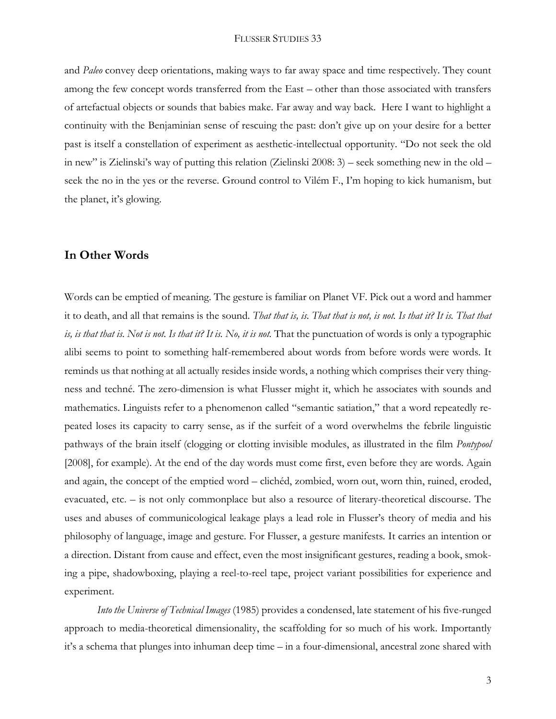and *Paleo* convey deep orientations, making ways to far away space and time respectively. They count among the few concept words transferred from the East – other than those associated with transfers of artefactual objects or sounds that babies make. Far away and way back. Here I want to highlight a continuity with the Benjaminian sense of rescuing the past: don't give up on your desire for a better past is itself a constellation of experiment as aesthetic-intellectual opportunity. "Do not seek the old in new" is Zielinski's way of putting this relation (Zielinski 2008: 3) – seek something new in the old – seek the no in the yes or the reverse. Ground control to Vilém F., I'm hoping to kick humanism, but the planet, it's glowing.

### **In Other Words**

Words can be emptied of meaning. The gesture is familiar on Planet VF. Pick out a word and hammer it to death, and all that remains is the sound. *That that is, is. That that is not, is not. Is that it? It is. That that is, is that that is. Not is not. Is that it? It is. No, it is not.* That the punctuation of words is only a typographic alibi seems to point to something half-remembered about words from before words were words. It reminds us that nothing at all actually resides inside words, a nothing which comprises their very thingness and techné. The zero-dimension is what Flusser might it, which he associates with sounds and mathematics. Linguists refer to a phenomenon called "semantic satiation," that a word repeatedly repeated loses its capacity to carry sense, as if the surfeit of a word overwhelms the febrile linguistic pathways of the brain itself (clogging or clotting invisible modules, as illustrated in the film *Pontypool* [2008], for example). At the end of the day words must come first, even before they are words. Again and again, the concept of the emptied word – clichéd, zombied, worn out, worn thin, ruined, eroded, evacuated, etc. – is not only commonplace but also a resource of literary-theoretical discourse. The uses and abuses of communicological leakage plays a lead role in Flusser's theory of media and his philosophy of language, image and gesture. For Flusser, a gesture manifests. It carries an intention or a direction. Distant from cause and effect, even the most insignificant gestures, reading a book, smoking a pipe, shadowboxing, playing a reel-to-reel tape, project variant possibilities for experience and experiment.

*Into the Universe of Technical Images* (1985) provides a condensed, late statement of his five-runged approach to media-theoretical dimensionality, the scaffolding for so much of his work. Importantly it's a schema that plunges into inhuman deep time – in a four-dimensional, ancestral zone shared with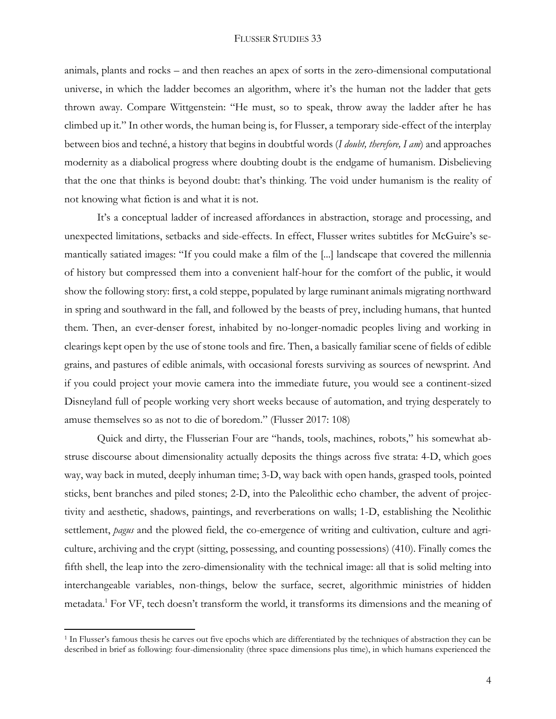animals, plants and rocks – and then reaches an apex of sorts in the zero-dimensional computational universe, in which the ladder becomes an algorithm, where it's the human not the ladder that gets thrown away. Compare Wittgenstein: "He must, so to speak, throw away the ladder after he has climbed up it." In other words, the human being is, for Flusser, a temporary side-effect of the interplay between bios and techné, a history that begins in doubtful words (*I doubt, therefore, I am*) and approaches modernity as a diabolical progress where doubting doubt is the endgame of humanism. Disbelieving that the one that thinks is beyond doubt: that's thinking. The void under humanism is the reality of not knowing what fiction is and what it is not.

It's a conceptual ladder of increased affordances in abstraction, storage and processing, and unexpected limitations, setbacks and side-effects. In effect, Flusser writes subtitles for McGuire's semantically satiated images: "If you could make a film of the [...] landscape that covered the millennia of history but compressed them into a convenient half-hour for the comfort of the public, it would show the following story: first, a cold steppe, populated by large ruminant animals migrating northward in spring and southward in the fall, and followed by the beasts of prey, including humans, that hunted them. Then, an ever-denser forest, inhabited by no-longer-nomadic peoples living and working in clearings kept open by the use of stone tools and fire. Then, a basically familiar scene of fields of edible grains, and pastures of edible animals, with occasional forests surviving as sources of newsprint. And if you could project your movie camera into the immediate future, you would see a continent-sized Disneyland full of people working very short weeks because of automation, and trying desperately to amuse themselves so as not to die of boredom." (Flusser 2017: 108)

Quick and dirty, the Flusserian Four are "hands, tools, machines, robots," his somewhat abstruse discourse about dimensionality actually deposits the things across five strata: 4-D, which goes way, way back in muted, deeply inhuman time; 3-D, way back with open hands, grasped tools, pointed sticks, bent branches and piled stones; 2-D, into the Paleolithic echo chamber, the advent of projectivity and aesthetic, shadows, paintings, and reverberations on walls; 1-D, establishing the Neolithic settlement, *pagus* and the plowed field, the co-emergence of writing and cultivation, culture and agriculture, archiving and the crypt (sitting, possessing, and counting possessions) (410). Finally comes the fifth shell, the leap into the zero-dimensionality with the technical image: all that is solid melting into interchangeable variables, non-things, below the surface, secret, algorithmic ministries of hidden metadata.<sup>1</sup> For VF, tech doesn't transform the world, it transforms its dimensions and the meaning of

l

<sup>1</sup> In Flusser's famous thesis he carves out five epochs which are differentiated by the techniques of abstraction they can be described in brief as following: four-dimensionality (three space dimensions plus time), in which humans experienced the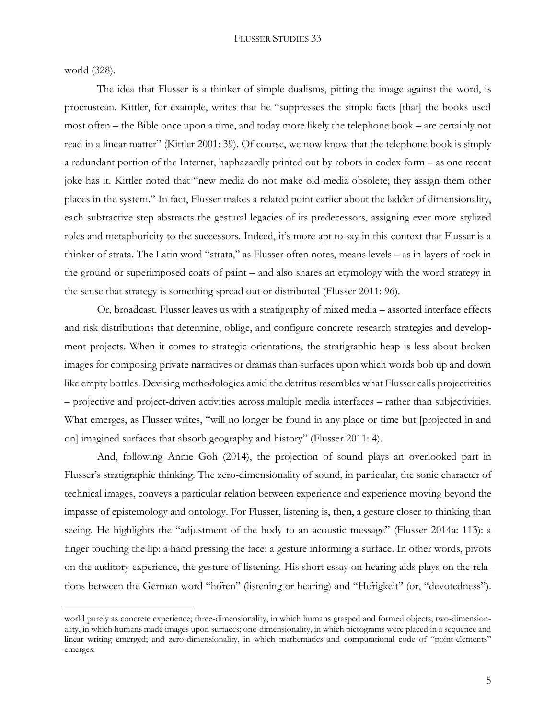world (328).

 $\overline{a}$ 

The idea that Flusser is a thinker of simple dualisms, pitting the image against the word, is procrustean. Kittler, for example, writes that he "suppresses the simple facts [that] the books used most often – the Bible once upon a time, and today more likely the telephone book – are certainly not read in a linear matter" (Kittler 2001: 39). Of course, we now know that the telephone book is simply a redundant portion of the Internet, haphazardly printed out by robots in codex form – as one recent joke has it. Kittler noted that "new media do not make old media obsolete; they assign them other places in the system." In fact, Flusser makes a related point earlier about the ladder of dimensionality, each subtractive step abstracts the gestural legacies of its predecessors, assigning ever more stylized roles and metaphoricity to the successors. Indeed, it's more apt to say in this context that Flusser is a thinker of strata. The Latin word "strata," as Flusser often notes, means levels – as in layers of rock in the ground or superimposed coats of paint – and also shares an etymology with the word strategy in the sense that strategy is something spread out or distributed (Flusser 2011: 96).

Or, broadcast. Flusser leaves us with a stratigraphy of mixed media – assorted interface effects and risk distributions that determine, oblige, and configure concrete research strategies and development projects. When it comes to strategic orientations, the stratigraphic heap is less about broken images for composing private narratives or dramas than surfaces upon which words bob up and down like empty bottles. Devising methodologies amid the detritus resembles what Flusser calls projectivities – projective and project-driven activities across multiple media interfaces – rather than subjectivities. What emerges, as Flusser writes, "will no longer be found in any place or time but [projected in and on] imagined surfaces that absorb geography and history" (Flusser 2011: 4).

And, following Annie Goh (2014), the projection of sound plays an overlooked part in Flusser's stratigraphic thinking. The zero-dimensionality of sound, in particular, the sonic character of technical images, conveys a particular relation between experience and experience moving beyond the impasse of epistemology and ontology. For Flusser, listening is, then, a gesture closer to thinking than seeing. He highlights the "adjustment of the body to an acoustic message" (Flusser 2014a: 113): a finger touching the lip: a hand pressing the face: a gesture informing a surface. In other words, pivots on the auditory experience, the gesture of listening. His short essay on hearing aids plays on the relations between the German word "hören" (listening or hearing) and "Hörigkeit" (or, "devotedness").

world purely as concrete experience; three-dimensionality, in which humans grasped and formed objects; two-dimensionality, in which humans made images upon surfaces; one-dimensionality, in which pictograms were placed in a sequence and linear writing emerged; and zero-dimensionality, in which mathematics and computational code of "point-elements" emerges.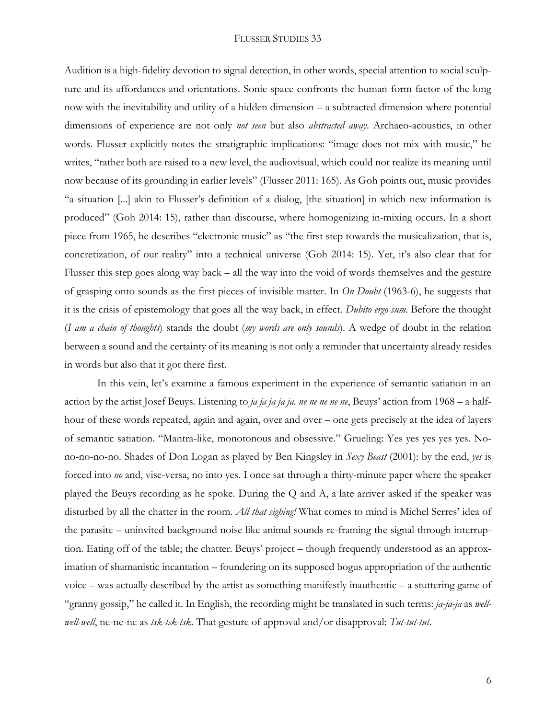Audition is a high-fidelity devotion to signal detection, in other words, special attention to social sculpture and its affordances and orientations. Sonic space confronts the human form factor of the long now with the inevitability and utility of a hidden dimension – a subtracted dimension where potential dimensions of experience are not only *not seen* but also *abstracted away*. Archaeo-acoustics, in other words. Flusser explicitly notes the stratigraphic implications: "image does not mix with music," he writes, "rather both are raised to a new level, the audiovisual, which could not realize its meaning until now because of its grounding in earlier levels" (Flusser 2011: 165). As Goh points out, music provides "a situation [...] akin to Flusser's definition of a dialog, [the situation] in which new information is produced" (Goh 2014: 15), rather than discourse, where homogenizing in-mixing occurs. In a short piece from 1965, he describes "electronic music" as "the first step towards the musicalization, that is, concretization, of our reality" into a technical universe (Goh 2014: 15). Yet, it's also clear that for Flusser this step goes along way back – all the way into the void of words themselves and the gesture of grasping onto sounds as the first pieces of invisible matter. In *On Doubt* (1963-6), he suggests that it is the crisis of epistemology that goes all the way back, in effect*. Dubito ergo sum.* Before the thought (*I am a chain of thoughts*) stands the doubt (*my words are only sounds*). A wedge of doubt in the relation between a sound and the certainty of its meaning is not only a reminder that uncertainty already resides in words but also that it got there first.

In this vein, let's examine a famous experiment in the experience of semantic satiation in an action by the artist Josef Beuys. Listening to *ja ja ja ja ja. ne ne ne ne ne*, Beuys' action from 1968 – a halfhour of these words repeated, again and again, over and over – one gets precisely at the idea of layers of semantic satiation. "Mantra-like, monotonous and obsessive." Grueling: Yes yes yes yes yes. Nono-no-no-no. Shades of Don Logan as played by Ben Kingsley in *Sexy Beast* (2001): by the end, *yes* is forced into *no* and, vise-versa, no into yes. I once sat through a thirty-minute paper where the speaker played the Beuys recording as he spoke. During the Q and A, a late arriver asked if the speaker was disturbed by all the chatter in the room. *All that sighing!* What comes to mind is Michel Serres' idea of the parasite – uninvited background noise like animal sounds re-framing the signal through interruption. Eating off of the table; the chatter. Beuys' project – though frequently understood as an approximation of shamanistic incantation – foundering on its supposed bogus appropriation of the authentic voice – was actually described by the artist as something manifestly inauthentic – a stuttering game of "granny gossip," he called it. In English, the recording might be translated in such terms: *ja-ja-ja* as *wellwell-well*, ne-ne-ne as *tsk-tsk-tsk*. That gesture of approval and/or disapproval: *Tut-tut-tut*.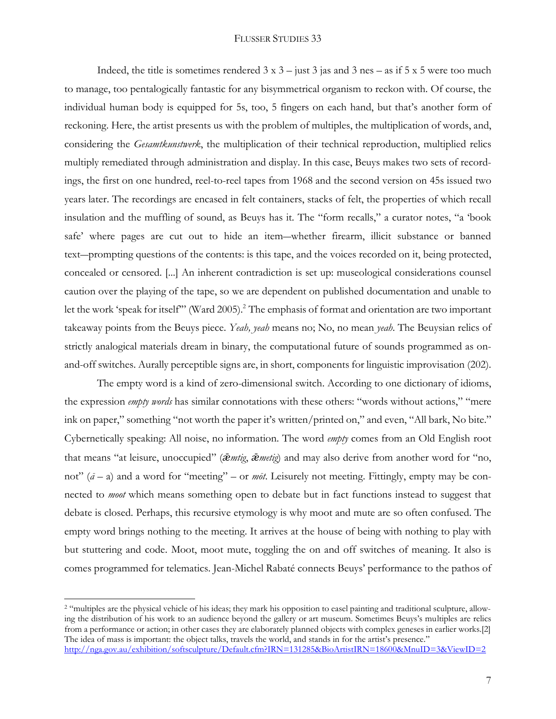Indeed, the title is sometimes rendered  $3 \times 3 -$  just  $3$  jas and  $3$  nes – as if  $5 \times 5$  were too much to manage, too pentalogically fantastic for any bisymmetrical organism to reckon with. Of course, the individual human body is equipped for 5s, too, 5 fingers on each hand, but that's another form of reckoning. Here, the artist presents us with the problem of multiples, the multiplication of words, and, considering the *Gesamtkunstwerk*, the multiplication of their technical reproduction, multiplied relics multiply remediated through administration and display. In this case, Beuys makes two sets of recordings, the first on one hundred, reel-to-reel tapes from 1968 and the second version on 45s issued two years later. The recordings are encased in felt containers, stacks of felt, the properties of which recall insulation and the muffling of sound, as Beuys has it. The "form recalls," a curator notes, "a 'book safe' where pages are cut out to hide an item―whether firearm, illicit substance or banned text―prompting questions of the contents: is this tape, and the voices recorded on it, being protected, concealed or censored. [...] An inherent contradiction is set up: museological considerations counsel caution over the playing of the tape, so we are dependent on published documentation and unable to let the work 'speak for itself" (Ward 2005).<sup>2</sup> The emphasis of format and orientation are two important takeaway points from the Beuys piece. *Yeah, yeah* means no; No, no mean *yeah*. The Beuysian relics of strictly analogical materials dream in binary, the computational future of sounds programmed as onand-off switches. Aurally perceptible signs are, in short, components for linguistic improvisation (202).

The empty word is a kind of zero-dimensional switch. According to one dictionary of idioms, the expression *empty words* has similar connotations with these others: "words without actions," "mere ink on paper," something "not worth the paper it's written/printed on," and even, "All bark, No bite." Cybernetically speaking: All noise, no information. The word *empty* comes from an Old English root that means "at leisure, unoccupied" (*ǣmtig*, *ǣmetig*) and may also derive from another word for "no, not"  $(\bar{a}-a)$  and a word for "meeting" – or *mot*. Leisurely not meeting. Fittingly, empty may be connected to *moot* which means something open to debate but in fact functions instead to suggest that debate is closed. Perhaps, this recursive etymology is why moot and mute are so often confused. The empty word brings nothing to the meeting. It arrives at the house of being with nothing to play with but stuttering and code. Moot, moot mute, toggling the on and off switches of meaning. It also is comes programmed for telematics. Jean-Michel Rabaté connects Beuys' performance to the pathos of

 $\overline{a}$ 

<sup>&</sup>lt;sup>2</sup> "multiples are the physical vehicle of his ideas; they mark his opposition to easel painting and traditional sculpture, allowing the distribution of his work to an audience beyond the gallery or art museum. Sometimes Beuys's multiples are relics from a performance or action; in other cases they are elaborately planned objects with complex geneses in earlier works.[2] The idea of mass is important: the object talks, travels the world, and stands in for the artist's presence."

<http://nga.gov.au/exhibition/softsculpture/Default.cfm?IRN=131285&BioArtistIRN=18600&MnuID=3&ViewID=2>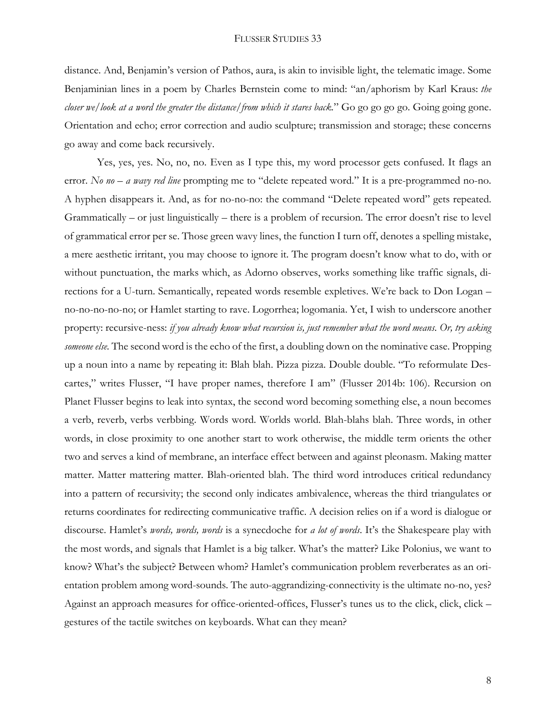distance. And, Benjamin's version of Pathos, aura, is akin to invisible light, the telematic image. Some Benjaminian lines in a poem by Charles Bernstein come to mind: "an/aphorism by Karl Kraus: *the closer we*/*look at a word the greater the distance/from which it stares back.*" Go go go go go. Going going gone. Orientation and echo; error correction and audio sculpture; transmission and storage; these concerns go away and come back recursively.

Yes, yes, yes. No, no, no. Even as I type this, my word processor gets confused. It flags an error. *No no – a wavy red line* prompting me to "delete repeated word." It is a pre-programmed no-no. A hyphen disappears it. And, as for no-no-no: the command "Delete repeated word" gets repeated. Grammatically – or just linguistically – there is a problem of recursion. The error doesn't rise to level of grammatical error per se. Those green wavy lines, the function I turn off, denotes a spelling mistake, a mere aesthetic irritant, you may choose to ignore it. The program doesn't know what to do, with or without punctuation, the marks which, as Adorno observes, works something like traffic signals, directions for a U-turn. Semantically, repeated words resemble expletives. We're back to Don Logan – no-no-no-no-no; or Hamlet starting to rave. Logorrhea; logomania. Yet, I wish to underscore another property: recursive-ness: *if you already know what recursion is, just remember what the word means. Or, try asking someone else.* The second word is the echo of the first, a doubling down on the nominative case. Propping up a noun into a name by repeating it: Blah blah. Pizza pizza. Double double. "To reformulate Descartes," writes Flusser, "I have proper names, therefore I am" (Flusser 2014b: 106). Recursion on Planet Flusser begins to leak into syntax, the second word becoming something else, a noun becomes a verb, reverb, verbs verbbing. Words word. Worlds world. Blah-blahs blah. Three words, in other words, in close proximity to one another start to work otherwise, the middle term orients the other two and serves a kind of membrane, an interface effect between and against pleonasm. Making matter matter. Matter mattering matter. Blah-oriented blah. The third word introduces critical redundancy into a pattern of recursivity; the second only indicates ambivalence, whereas the third triangulates or returns coordinates for redirecting communicative traffic. A decision relies on if a word is dialogue or discourse. Hamlet's *words, words, words* is a synecdoche for *a lot of words*. It's the Shakespeare play with the most words, and signals that Hamlet is a big talker. What's the matter? Like Polonius, we want to know? What's the subject? Between whom? Hamlet's communication problem reverberates as an orientation problem among word-sounds. The auto-aggrandizing-connectivity is the ultimate no-no, yes? Against an approach measures for office-oriented-offices, Flusser's tunes us to the click, click, click – gestures of the tactile switches on keyboards. What can they mean?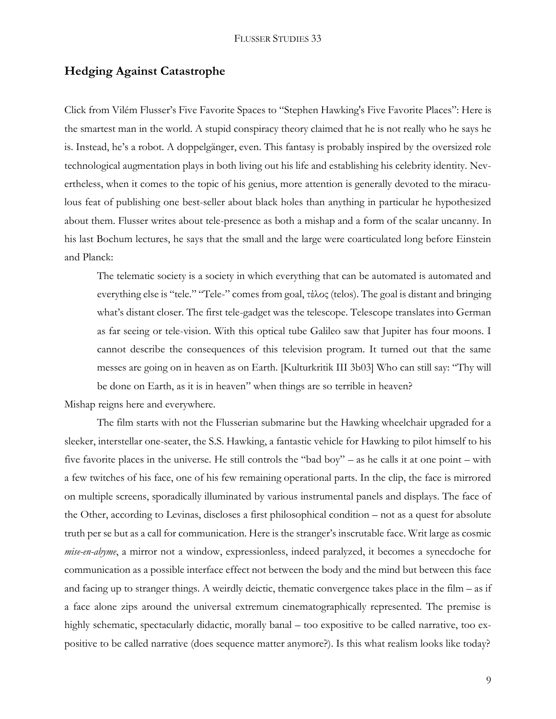# **Hedging Against Catastrophe**

Click from Vilém Flusser's Five Favorite Spaces to "Stephen Hawking's Five Favorite Places": Here is the smartest man in the world. A stupid conspiracy theory claimed that he is not really who he says he is. Instead, he's a robot. A doppelgänger, even. This fantasy is probably inspired by the oversized role technological augmentation plays in both living out his life and establishing his celebrity identity. Nevertheless, when it comes to the topic of his genius, more attention is generally devoted to the miraculous feat of publishing one best-seller about black holes than anything in particular he hypothesized about them. Flusser writes about tele-presence as both a mishap and a form of the scalar uncanny. In his last Bochum lectures, he says that the small and the large were coarticulated long before Einstein and Planck:

The telematic society is a society in which everything that can be automated is automated and everything else is "tele." "Tele-" comes from goal, τέλος (telos). The goal is distant and bringing what's distant closer. The first tele-gadget was the telescope. Telescope translates into German as far seeing or tele-vision. With this optical tube Galileo saw that Jupiter has four moons. I cannot describe the consequences of this television program. It turned out that the same messes are going on in heaven as on Earth. [Kulturkritik III 3b03] Who can still say: "Thy will be done on Earth, as it is in heaven" when things are so terrible in heaven?

Mishap reigns here and everywhere.

The film starts with not the Flusserian submarine but the Hawking wheelchair upgraded for a sleeker, interstellar one-seater, the S.S. Hawking, a fantastic vehicle for Hawking to pilot himself to his five favorite places in the universe. He still controls the "bad boy" – as he calls it at one point – with a few twitches of his face, one of his few remaining operational parts. In the clip, the face is mirrored on multiple screens, sporadically illuminated by various instrumental panels and displays. The face of the Other, according to Levinas, discloses a first philosophical condition – not as a quest for absolute truth per se but as a call for communication. Here is the stranger's inscrutable face. Writ large as cosmic *mise-en-abyme*, a mirror not a window, expressionless, indeed paralyzed, it becomes a synecdoche for communication as a possible interface effect not between the body and the mind but between this face and facing up to stranger things. A weirdly deictic, thematic convergence takes place in the film – as if a face alone zips around the universal extremum cinematographically represented. The premise is highly schematic, spectacularly didactic, morally banal – too expositive to be called narrative, too expositive to be called narrative (does sequence matter anymore?). Is this what realism looks like today?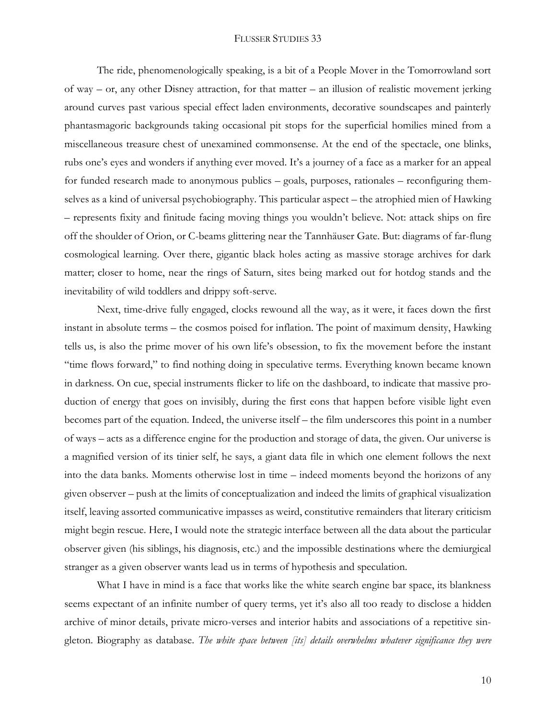The ride, phenomenologically speaking, is a bit of a People Mover in the Tomorrowland sort of way – or, any other Disney attraction, for that matter – an illusion of realistic movement jerking around curves past various special effect laden environments, decorative soundscapes and painterly phantasmagoric backgrounds taking occasional pit stops for the superficial homilies mined from a miscellaneous treasure chest of unexamined commonsense. At the end of the spectacle, one blinks, rubs one's eyes and wonders if anything ever moved. It's a journey of a face as a marker for an appeal for funded research made to anonymous publics – goals, purposes, rationales – reconfiguring themselves as a kind of universal psychobiography. This particular aspect – the atrophied mien of Hawking – represents fixity and finitude facing moving things you wouldn't believe. Not: attack ships on fire off the shoulder of Orion, or C-beams glittering near the Tannhäuser Gate. But: diagrams of far-flung cosmological learning. Over there, gigantic black holes acting as massive storage archives for dark matter; closer to home, near the rings of Saturn, sites being marked out for hotdog stands and the inevitability of wild toddlers and drippy soft-serve.

Next, time-drive fully engaged, clocks rewound all the way, as it were, it faces down the first instant in absolute terms – the cosmos poised for inflation. The point of maximum density, Hawking tells us, is also the prime mover of his own life's obsession, to fix the movement before the instant "time flows forward," to find nothing doing in speculative terms. Everything known became known in darkness. On cue, special instruments flicker to life on the dashboard, to indicate that massive production of energy that goes on invisibly, during the first eons that happen before visible light even becomes part of the equation. Indeed, the universe itself – the film underscores this point in a number of ways – acts as a difference engine for the production and storage of data, the given. Our universe is a magnified version of its tinier self, he says, a giant data file in which one element follows the next into the data banks. Moments otherwise lost in time – indeed moments beyond the horizons of any given observer – push at the limits of conceptualization and indeed the limits of graphical visualization itself, leaving assorted communicative impasses as weird, constitutive remainders that literary criticism might begin rescue. Here, I would note the strategic interface between all the data about the particular observer given (his siblings, his diagnosis, etc.) and the impossible destinations where the demiurgical stranger as a given observer wants lead us in terms of hypothesis and speculation.

What I have in mind is a face that works like the white search engine bar space, its blankness seems expectant of an infinite number of query terms, yet it's also all too ready to disclose a hidden archive of minor details, private micro-verses and interior habits and associations of a repetitive singleton. Biography as database. *The white space between [its] details overwhelms whatever significance they were*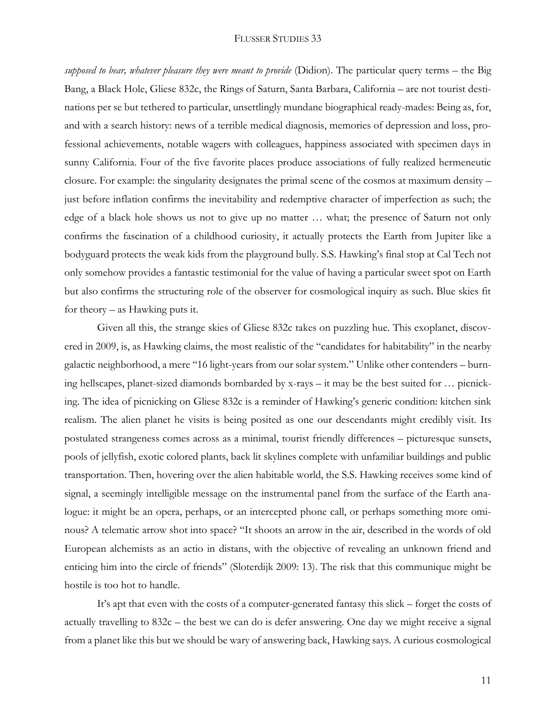*supposed to bear, whatever pleasure they were meant to provide* (Didion). The particular query terms – the Big Bang, a Black Hole, Gliese 832c, the Rings of Saturn, Santa Barbara, California – are not tourist destinations per se but tethered to particular, unsettlingly mundane biographical ready-mades: Being as, for, and with a search history: news of a terrible medical diagnosis, memories of depression and loss, professional achievements, notable wagers with colleagues, happiness associated with specimen days in sunny California. Four of the five favorite places produce associations of fully realized hermeneutic closure. For example: the singularity designates the primal scene of the cosmos at maximum density – just before inflation confirms the inevitability and redemptive character of imperfection as such; the edge of a black hole shows us not to give up no matter … what; the presence of Saturn not only confirms the fascination of a childhood curiosity, it actually protects the Earth from Jupiter like a bodyguard protects the weak kids from the playground bully. S.S. Hawking's final stop at Cal Tech not only somehow provides a fantastic testimonial for the value of having a particular sweet spot on Earth but also confirms the structuring role of the observer for cosmological inquiry as such. Blue skies fit for theory – as Hawking puts it.

Given all this, the strange skies of Gliese 832c takes on puzzling hue. This exoplanet, discovered in 2009, is, as Hawking claims, the most realistic of the "candidates for habitability" in the nearby galactic neighborhood, a mere "16 light-years from our solar system." Unlike other contenders – burning hellscapes, planet-sized diamonds bombarded by x-rays – it may be the best suited for … picnicking. The idea of picnicking on Gliese 832c is a reminder of Hawking's generic condition: kitchen sink realism. The alien planet he visits is being posited as one our descendants might credibly visit. Its postulated strangeness comes across as a minimal, tourist friendly differences – picturesque sunsets, pools of jellyfish, exotic colored plants, back lit skylines complete with unfamiliar buildings and public transportation. Then, hovering over the alien habitable world, the S.S. Hawking receives some kind of signal, a seemingly intelligible message on the instrumental panel from the surface of the Earth analogue: it might be an opera, perhaps, or an intercepted phone call, or perhaps something more ominous? A telematic arrow shot into space? "It shoots an arrow in the air, described in the words of old European alchemists as an actio in distans, with the objective of revealing an unknown friend and enticing him into the circle of friends" (Sloterdijk 2009: 13). The risk that this communique might be hostile is too hot to handle.

It's apt that even with the costs of a computer-generated fantasy this slick – forget the costs of actually travelling to 832c – the best we can do is defer answering. One day we might receive a signal from a planet like this but we should be wary of answering back, Hawking says. A curious cosmological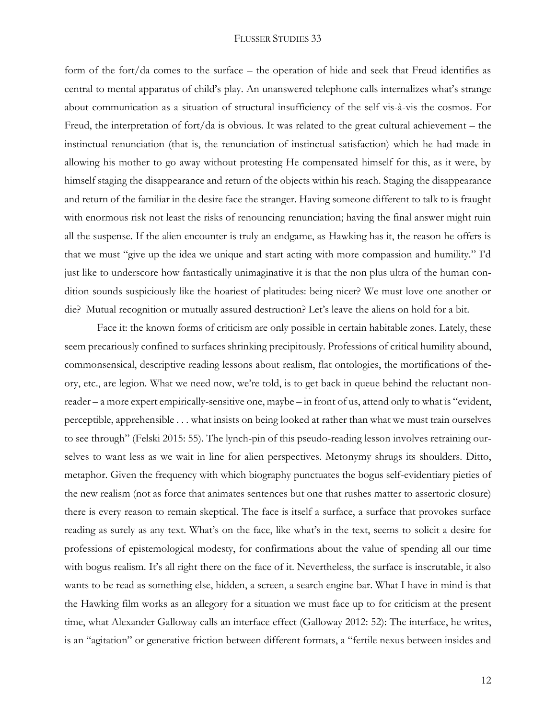form of the fort/da comes to the surface – the operation of hide and seek that Freud identifies as central to mental apparatus of child's play. An unanswered telephone calls internalizes what's strange about communication as a situation of structural insufficiency of the self vis-à-vis the cosmos. For Freud, the interpretation of fort/da is obvious. It was related to the great cultural achievement – the instinctual renunciation (that is, the renunciation of instinctual satisfaction) which he had made in allowing his mother to go away without protesting He compensated himself for this, as it were, by himself staging the disappearance and return of the objects within his reach. Staging the disappearance and return of the familiar in the desire face the stranger. Having someone different to talk to is fraught with enormous risk not least the risks of renouncing renunciation; having the final answer might ruin all the suspense. If the alien encounter is truly an endgame, as Hawking has it, the reason he offers is that we must "give up the idea we unique and start acting with more compassion and humility." I'd just like to underscore how fantastically unimaginative it is that the non plus ultra of the human condition sounds suspiciously like the hoariest of platitudes: being nicer? We must love one another or die? Mutual recognition or mutually assured destruction? Let's leave the aliens on hold for a bit.

Face it: the known forms of criticism are only possible in certain habitable zones. Lately, these seem precariously confined to surfaces shrinking precipitously. Professions of critical humility abound, commonsensical, descriptive reading lessons about realism, flat ontologies, the mortifications of theory, etc., are legion. What we need now, we're told, is to get back in queue behind the reluctant nonreader – a more expert empirically-sensitive one, maybe – in front of us, attend only to what is "evident, perceptible, apprehensible . . . what insists on being looked at rather than what we must train ourselves to see through" (Felski 2015: 55). The lynch-pin of this pseudo-reading lesson involves retraining ourselves to want less as we wait in line for alien perspectives. Metonymy shrugs its shoulders. Ditto, metaphor. Given the frequency with which biography punctuates the bogus self-evidentiary pieties of the new realism (not as force that animates sentences but one that rushes matter to assertoric closure) there is every reason to remain skeptical. The face is itself a surface, a surface that provokes surface reading as surely as any text. What's on the face, like what's in the text, seems to solicit a desire for professions of epistemological modesty, for confirmations about the value of spending all our time with bogus realism. It's all right there on the face of it. Nevertheless, the surface is inscrutable, it also wants to be read as something else, hidden, a screen, a search engine bar. What I have in mind is that the Hawking film works as an allegory for a situation we must face up to for criticism at the present time, what Alexander Galloway calls an interface effect (Galloway 2012: 52): The interface, he writes, is an "agitation" or generative friction between different formats, a "fertile nexus between insides and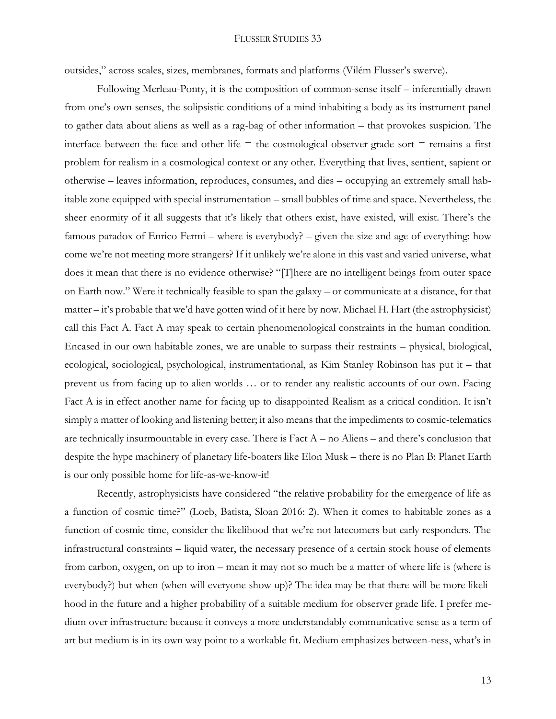outsides," across scales, sizes, membranes, formats and platforms (Vilém Flusser's swerve).

Following Merleau-Ponty, it is the composition of common-sense itself – inferentially drawn from one's own senses, the solipsistic conditions of a mind inhabiting a body as its instrument panel to gather data about aliens as well as a rag-bag of other information – that provokes suspicion. The interface between the face and other life  $=$  the cosmological-observer-grade sort  $=$  remains a first problem for realism in a cosmological context or any other. Everything that lives, sentient, sapient or otherwise – leaves information, reproduces, consumes, and dies – occupying an extremely small habitable zone equipped with special instrumentation – small bubbles of time and space. Nevertheless, the sheer enormity of it all suggests that it's likely that others exist, have existed, will exist. There's the famous paradox of Enrico Fermi – where is everybody? – given the size and age of everything: how come we're not meeting more strangers? If it unlikely we're alone in this vast and varied universe, what does it mean that there is no evidence otherwise? "[T]here are no intelligent beings from outer space on Earth now." Were it technically feasible to span the galaxy – or communicate at a distance, for that matter – it's probable that we'd have gotten wind of it here by now. Michael H. Hart (the astrophysicist) call this Fact A. Fact A may speak to certain phenomenological constraints in the human condition. Encased in our own habitable zones, we are unable to surpass their restraints – physical, biological, ecological, sociological, psychological, instrumentational, as Kim Stanley Robinson has put it – that prevent us from facing up to alien worlds … or to render any realistic accounts of our own. Facing Fact A is in effect another name for facing up to disappointed Realism as a critical condition. It isn't simply a matter of looking and listening better; it also means that the impediments to cosmic-telematics are technically insurmountable in every case. There is Fact A – no Aliens – and there's conclusion that despite the hype machinery of planetary life-boaters like Elon Musk – there is no Plan B: Planet Earth is our only possible home for life-as-we-know-it!

Recently, astrophysicists have considered "the relative probability for the emergence of life as a function of cosmic time?" (Loeb, Batista, Sloan 2016: 2). When it comes to habitable zones as a function of cosmic time, consider the likelihood that we're not latecomers but early responders. The infrastructural constraints – liquid water, the necessary presence of a certain stock house of elements from carbon, oxygen, on up to iron – mean it may not so much be a matter of where life is (where is everybody?) but when (when will everyone show up)? The idea may be that there will be more likelihood in the future and a higher probability of a suitable medium for observer grade life. I prefer medium over infrastructure because it conveys a more understandably communicative sense as a term of art but medium is in its own way point to a workable fit. Medium emphasizes between-ness, what's in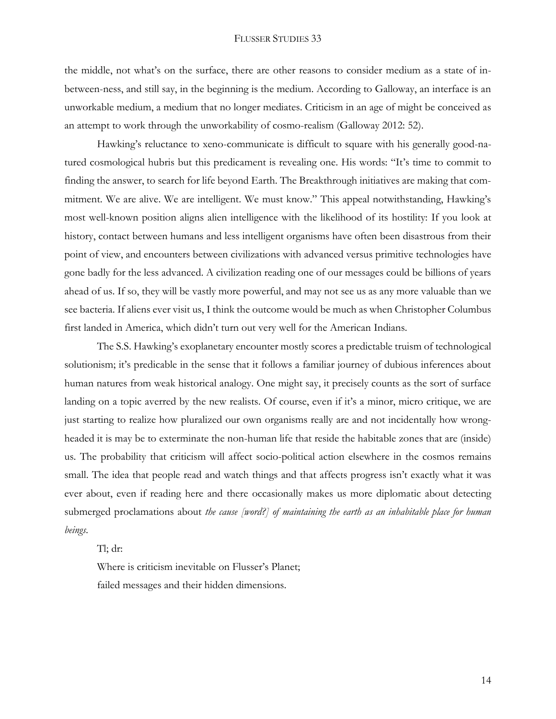the middle, not what's on the surface, there are other reasons to consider medium as a state of inbetween-ness, and still say, in the beginning is the medium. According to Galloway, an interface is an unworkable medium, a medium that no longer mediates. Criticism in an age of might be conceived as an attempt to work through the unworkability of cosmo-realism (Galloway 2012: 52).

Hawking's reluctance to xeno-communicate is difficult to square with his generally good-natured cosmological hubris but this predicament is revealing one. His words: "It's time to commit to finding the answer, to search for life beyond Earth. The Breakthrough initiatives are making that commitment. We are alive. We are intelligent. We must know." This appeal notwithstanding, Hawking's most well-known position aligns alien intelligence with the likelihood of its hostility: If you look at history, contact between humans and less intelligent organisms have often been disastrous from their point of view, and encounters between civilizations with advanced versus primitive technologies have gone badly for the less advanced. A civilization reading one of our messages could be billions of years ahead of us. If so, they will be vastly more powerful, and may not see us as any more valuable than we see bacteria. If aliens ever visit us, I think the outcome would be much as when Christopher Columbus first landed in America, which didn't turn out very well for the American Indians.

The S.S. Hawking's exoplanetary encounter mostly scores a predictable truism of technological solutionism; it's predicable in the sense that it follows a familiar journey of dubious inferences about human natures from weak historical analogy. One might say, it precisely counts as the sort of surface landing on a topic averred by the new realists. Of course, even if it's a minor, micro critique, we are just starting to realize how pluralized our own organisms really are and not incidentally how wrongheaded it is may be to exterminate the non-human life that reside the habitable zones that are (inside) us. The probability that criticism will affect socio-political action elsewhere in the cosmos remains small. The idea that people read and watch things and that affects progress isn't exactly what it was ever about, even if reading here and there occasionally makes us more diplomatic about detecting submerged proclamations about *the cause [word?] of maintaining the earth as an inhabitable place for human beings*.

Tl; dr:

Where is criticism inevitable on Flusser's Planet; failed messages and their hidden dimensions.